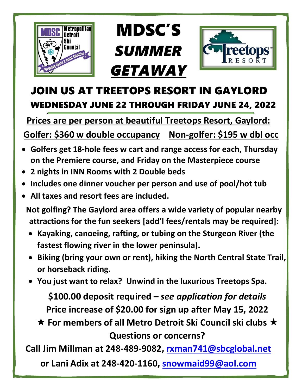

## MDSC'S *SUMMER GETAWAY*



## JOIN US AT TREETOPS RESORT IN GAYLORD WEDNESDAY JUNE 22 THROUGH FRIDAY JUNE 24, 2022

**Prices are per person at beautiful Treetops Resort, Gaylord:**

 **Golfer: \$360 w double occupancy Non-golfer: \$195 w dbl occ**

- **Golfers get 18-hole fees w cart and range access for each, Thursday on the Premiere course, and Friday on the Masterpiece course**
- **2 nights in INN Rooms with 2 Double beds**
- **Includes one dinner voucher per person and use of pool/hot tub**
- **All taxes and resort fees are included.**

**Not golfing? The Gaylord area offers a wide variety of popular nearby attractions for the fun seekers [add'l fees/rentals may be required]:**

- **Kayaking, canoeing, rafting, or tubing on the Sturgeon River (the fastest flowing river in the lower peninsula).**
- **Biking (bring your own or rent), hiking the North Central State Trail, or horseback riding.**
- **You just want to relax? Unwind in the luxurious Treetops Spa.**

**\$100.00 deposit required –** *see application for details* **Price increase of \$20.00 for sign up after May 15, 2022**

**★ For members of all Metro Detroit Ski Council ski clubs ★ Questions or concerns?** 

**Call Jim Millman at 248-489-9082, rxman741@sbcglobal.net**

**or Lani Adix at 248-420-1160, [snowmaid99@aol.com](mailto:snowmaid99@aol.com)**